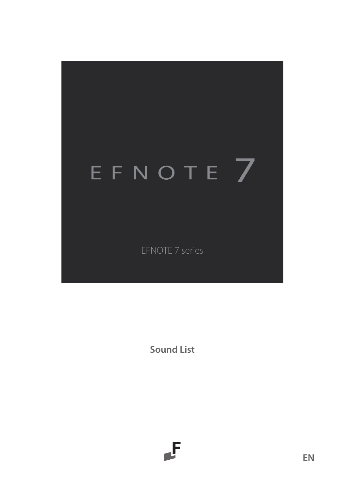# EFNOTE 7

EFNOTE 7 series

**Sound List**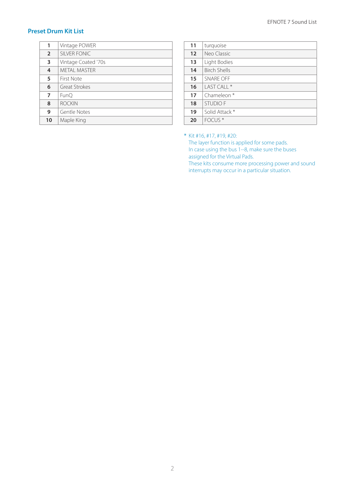### **Preset Drum Kit List**

| 1              | Vintage POWER       |  |
|----------------|---------------------|--|
| $\overline{2}$ | SILVER FONIC        |  |
| 3              | Vintage Coated '70s |  |
| 4              | <b>METAL MASTER</b> |  |
| 5              | First Note          |  |
| 6              | Great Strokes       |  |
| 7              | FunO                |  |
| 8              | <b>ROCKIN</b>       |  |
| 9              | Gentle Notes        |  |
| 10             | Maple King          |  |

| 11 | turquoise              |
|----|------------------------|
| 12 | Neo Classic            |
| 13 | Light Bodies           |
| 14 | <b>Birch Shells</b>    |
| 15 | SNARF OFF              |
| 16 | $IASTCHI*$             |
| 17 | Chameleon <sup>*</sup> |
| 18 | <b>STUDIO F</b>        |
| 19 | Solid Attack *         |
| 20 | FOCUS <sup>*</sup>     |

\* Kit #16, #17, #19, #20:

The layer function is applied for some pads. In case using the bus 1--8, make sure the buses assigned for the Virtual Pads.

These kits consume more processing power and sound interrupts may occur in a particular situation.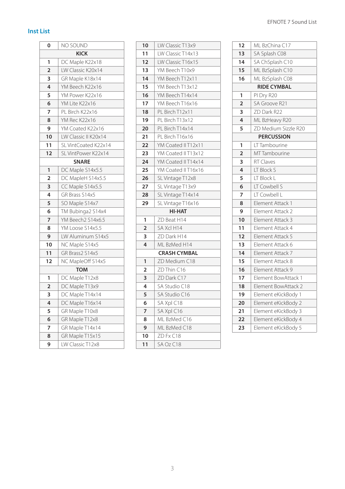### **Inst List**

| 0                       | NO SOUND             |
|-------------------------|----------------------|
|                         | <b>KICK</b>          |
| 1                       | DC Maple K22x18      |
| $\overline{\mathbf{c}}$ | LW Classic K20x14    |
| 3                       | GR Maple K18x14      |
| 4                       | YM Beech K22x16      |
| 5                       | YM Power K22x16      |
| 6                       | YM Lite K22x16       |
| 7                       | PL Birch K22x16      |
| 8                       | YM Rec K22x16        |
| 9                       | YM Coated K22x16     |
| 10                      | LW Classic II K20x14 |
| 11                      | SL VintCoated K22x14 |
| 12                      | SL VintPower K22x14  |
|                         | <b>SNARE</b>         |
| 1                       | DC Maple S14x5.5     |
| $\overline{2}$          | DC MapleH S14x5.5    |
| 3                       | CC Maple S14x5.5     |
| 4                       | GR Brass S14x5       |
| 5                       | SO Maple S14x7       |
| 6                       | TM Bubinga2 S14x4    |
| 7                       | YM Beech2 S14x6.5    |
| 8                       | YM Loose S14x5.5     |
| 9                       | LW Aluminum S14x5    |
| 10                      | NC Maple S14x5       |
| 11                      | GR Brass2 S14x5      |
| 12                      | NC MapleOff S14x5    |
|                         | <b>TOM</b>           |
| 1                       | DC Maple T12x8       |
| $\overline{a}$          | DC Maple T13x9       |
| 3                       | DC Maple T14x14      |
| 4                       | DC Maple T16x14      |
| 5                       | GR Maple T10x8       |
| 6                       | GR Maple T12x8       |
| 7                       | GR Maple T14x14      |
| 8                       | GR Maple T15x15      |
| 9                       | LW Classic T12x8     |

| 10                      | LW Classic T13x9    |
|-------------------------|---------------------|
| 11                      | LW Classic T14x13   |
| 12                      | LW Classic T16x15   |
| 13                      | YM Beech T10x9      |
| 14                      | YM Beech T12x11     |
| 15                      | YM Beech T13x12     |
| 16                      | YM Beech T14x14     |
| 17                      | YM Beech T16x16     |
| 18                      | PL Birch T12x11     |
| 19                      | PL Birch T13x12     |
| 20                      | PL Birch T14x14     |
| 21                      | PL Birch T16x16     |
| 22                      | YM Coated II T12x11 |
| 23                      | YM Coated II T13x12 |
| 24                      | YM Coated II T14x14 |
| 25                      | YM Coated II T16x16 |
| 26                      | SL Vintage T12x8    |
| 27                      | SL Vintage T13x9    |
| 28                      | SL Vintage T14x14   |
| 29                      | SL Vintage T16x16   |
|                         | HI-HAT              |
| 1                       | ZD Beat H14         |
| $\overline{\mathbf{c}}$ | SA Xcl H14          |
| 3                       | ZD Dark H14         |
| 4                       | ML BzMed H14        |
|                         | <b>CRASH CYMBAL</b> |
| 1                       | ZD Medium C18       |
| $\overline{a}$          | ZD Thin C16         |
| 3                       | ZD Dark C17         |
| 4                       | SA Studio C18       |
| 5                       | SA Studio C16       |
| 6                       | SA Xpl C18          |
| 7                       | SA Xpl C16          |
| 8                       | ML BzMed C16        |
| 9                       | ML BzMed C18        |
| 10                      | ZD Fx C18           |
| 11                      | SA Oz C18           |

| 12             | ML BzChina C17       |
|----------------|----------------------|
| 13             | SA Splash C08        |
| 14             | SA ChSplash C10      |
| 15             | ML BzSplash C10      |
| 16             | ML BzSplash C08      |
|                | <b>RIDE CYMBAL</b>   |
| 1              | PI Dry R20           |
| $\overline{2}$ | SA Groove R21        |
| 3              | ZD Dark R22          |
| 4              | ML BzHeavy R20       |
| 5              | ZD Medium Sizzle R20 |
|                | <b>PERCUSSION</b>    |
| 1              | LT Tambourine        |
| $\overline{2}$ | <b>MTTambourine</b>  |
| 3              | <b>RT Claves</b>     |
| 4              | LT Block S           |
| 5              | LT Block L           |
| 6              | LT Cowbell S         |
| 7              | IT Cowbell I         |
| 8              | Element Attack 1     |
| 9              | Element Attack 2     |
| 10             | Element Attack 3     |
| 11             | Element Attack 4     |
| 12             | Element Attack 5     |
| 13             | Element Attack 6     |
| 14             | Element Attack 7     |
| 15             | Element Attack 8     |
| 16             | Element Attack 9     |
| 17             | Element BowAttack 1  |
| 18             | Element BowAttack 2  |
| 19             | Element eKickBody 1  |
| 20             | Element eKickBody 2  |
| 21             | Element eKickBody 3  |
| 22             | Element eKickBody 4  |
| 23             | Element eKickBody 5  |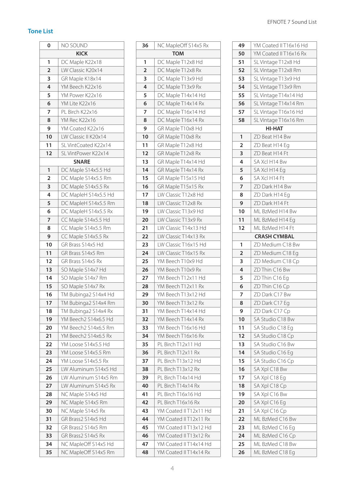## **Tone List**r.

| 0              | NO SOUND               |  |
|----------------|------------------------|--|
| <b>KICK</b>    |                        |  |
| 1              | DC Maple K22x18        |  |
| $\overline{2}$ | LW Classic K20x14      |  |
| 3              | GR Maple K18x14        |  |
| 4              | YM Beech K22x16        |  |
| 5              | YM Power K22x16        |  |
| 6              | YM Lite K22x16         |  |
| 7              | PL Birch K22x16        |  |
| 8              | YM Rec K22x16          |  |
| 9              | YM Coated K22x16       |  |
| 10             | LW Classic II K20x14   |  |
| 11             | SL VintCoated K22x14   |  |
| 12             | SL VintPower K22x14    |  |
|                | <b>SNARE</b>           |  |
| 1              | Maple S14x5.5 Hd<br>DC |  |
| $\overline{2}$ | DC Maple S14x5.5 Rm    |  |
| 3              | Maple S14x5.5 Rx<br>DC |  |
| 4              | DC MapleH S14x5.5 Hd   |  |
| 5              | DC MapleH S14x5.5 Rm   |  |
| 6              | DC MapleH S14x5.5 Rx   |  |
| 7              | Maple S14x5.5 Hd<br>CC |  |
| 8              | CC Maple S14x5.5 Rm    |  |
| 9              | CC Maple S14x5.5 Rx    |  |
| 10             | GR Brass S14x5 Hd      |  |
| 11             | GR Brass S14x5 Rm      |  |
| 12             | GR Brass S14x5 Rx      |  |
| 13             | SO Maple S14x7 Hd      |  |
| 14             | SO Maple S14x7 Rm      |  |
| 15             | SO Maple S14x7 Rx      |  |
| 16             | TM Bubinga2 S14x4 Hd   |  |
| 17             | TM Bubinga2 S14x4 Rm   |  |
| 18             | TM Bubinga2 S14x4 Rx   |  |
| 19             | YM Beech2 S14x6.5 Hd   |  |
| 20             | YM Beech2 S14x6.5 Rm   |  |
| 21             | YM Beech2 S14x6.5 Rx   |  |
| 22             | YM Loose S14x5.5 Hd    |  |
| 23             | YM Loose S14x5.5 Rm    |  |
| 24             | YM Loose S14x5.5 Rx    |  |
| 25             | LW Aluminum S14x5 Hd   |  |
| 26             | LW Aluminum S14x5 Rm   |  |
| 27             | LW Aluminum S14x5 Rx   |  |
| 28             | NC Maple S14x5 Hd      |  |
| 29             | NC<br>Maple S14x5 Rm   |  |
| 30             | NC Maple S14x5 Rx      |  |
| 31             | GR Brass2 S14x5 Hd     |  |
| 32             | GR Brass2 S14x5 Rm     |  |
| 33             | GR Brass2 S14x5 Rx     |  |
| 34             | NC MapleOff S14x5 Hd   |  |
| 35             | NC MapleOff S14x5 Rm   |  |

| 36             | NC MapleOff S14x5 Rx                             |
|----------------|--------------------------------------------------|
|                | <b>TOM</b>                                       |
| 1              | Maple T12x8 Hd<br>DC                             |
| $\overline{a}$ | Maple T12x8 Rx<br>DC                             |
| 3              | Maple T13x9 Hd<br>DC                             |
| 4              | Maple T13x9 Rx<br>DC                             |
| 5              | Maple T14x14 Hd<br>DC                            |
| 6              | DC Maple T14x14 Rx                               |
| 7              | Maple T16x14 Hd<br>DC                            |
| 8              | DC Maple T16x14 Rx                               |
| 9              | GR Maple T10x8 Hd                                |
| 10             | GR Maple T10x8 Rx                                |
| 11             | GR Maple T12x8 Hd                                |
| 12             | GR Maple T12x8 Rx                                |
| 13             | GR Maple T14x14 Hd                               |
| 14             | GR Maple T14x14 Rx                               |
| 15             | GR Maple T15x15 Hd                               |
| 16             | GR Maple T15x15 Rx                               |
| 17             | LW Classic T12x8 Hd                              |
| 18             | LW Classic T12x8 Rx                              |
| 19             | LW Classic T13x9 Hd                              |
| 20             | LW Classic T13x9 Rx                              |
| 21             | LW Classic T14x13 Hd                             |
| 22             | LW Classic T14x13 Rx                             |
| 23             | LW Classic T16x15 Hd                             |
| 24             | LW Classic T16x15 Rx                             |
| 25             | YM Beech T10x9 Hd                                |
| 26             | YM Beech T10x9 Rx                                |
| 27             | YM Beech T12x11<br>Hd                            |
| 28             | YM Beech T12x11 Rx                               |
| 29             | YM Beech T13x12 Hd                               |
| 30             | YM Beech T13x12 Rx                               |
| 31             | YM Beech T14x14 Hd                               |
| 32             | YM Beech T14x14 Rx                               |
| 33             | YM Beech T16x16 Hd                               |
| 34             | YM Beech T16x16 Rx                               |
| 35             | PL Birch T12x11 Hd                               |
| 36             | PL Birch T12x11 Rx                               |
| 37             | PL Birch T13x12 Hd                               |
| 38             | PL Birch T13x12 Rx                               |
| 39             | PL Birch T14x14 Hd                               |
| 40             | PL Birch T14x14 Rx                               |
| 41<br>42       | PL Birch T16x16 Hd                               |
|                | PL Birch T16x16 Rx                               |
| 43<br>44       | YM Coated II T12x11 Hd<br>YM Coated II T12x11 Rx |
| 45             |                                                  |
| 46             | YM Coated II T13x12 Hd<br>YM Coated II T13x12 Rx |
| 47             | YM Coated II T14x14 Hd                           |
| 48             |                                                  |
|                | YM Coated II T14x14 Rx                           |

#### EFNOTE 7 Sound List

| 49 | YM Coated II T16x16 Hd |
|----|------------------------|
| 50 | YM Coated II T16x16 Rx |
| 51 | SL Vintage T12x8 Hd    |
| 52 | SL Vintage T12x8 Rm    |
| 53 | SL Vintage T13x9 Hd    |
| 54 | SL Vintage T13x9 Rm    |
| 55 | SL Vintage T14x14 Hd   |
| 56 | SL Vintage T14x14 Rm   |
| 57 | SL Vintage T16x16 Hd   |
| 58 | SL Vintage T16x16 Rm   |
|    | HI-HAT                 |
| 1  | ZD Beat H14 Bw         |
| 2  | ZD Beat H14 Eq         |
| 3  | ZD Beat H14 Ft         |
| 4  | SA Xcl H14 Bw          |
| 5  | SA Xcl H14 Eq          |
| 6  | SA Xcl H14 Ft          |
| 7  | ZD Dark H14 Bw         |
| 8  | ZD Dark H14 Eq         |
| 9  | ZD Dark H14 Ft         |
| 10 | ML BzMed H14 Bw        |
| 11 | ML BzMed H14 Eq        |
| 12 | ML BzMed H14 Ft        |
|    | <b>CRASH CYMBAL</b>    |
| 1  | ZD Medium C18 Bw       |
| 2  | ZD Medium C18 Eq       |
| 3  | ZD Medium C18 Cp       |
| 4  | ZD Thin C16 Bw         |
| 5  | ZD Thin C16 Eq         |
| 6  | ZD Thin C16 Cp         |
| 7  | ZD Dark C17 Bw         |
| 8  | ZD Dark C17 Eq         |
| 9  | ZD Dark C17 Cp         |
| 10 | SA Studio C18 Bw       |
| 11 | SA Studio C18 Eq       |
| 12 | SA Studio C18 Cp       |
| 13 | SA Studio C16 Bw       |
| 14 | SA Studio C16 Eg       |
| 15 | SA Studio C16 Cp       |
| 16 | SA Xpl C18 Bw          |
| 17 | SA Xpl C18 Eq          |
| 18 | SA Xpl C18 Cp          |
| 19 | SA Xpl C16 Bw          |
| 20 | SA Xpl C16 Eg          |
| 21 | SA Xpl C16 Cp          |
| 22 | ML BzMed C16 Bw        |
| 23 | ML BzMed C16 Eg        |
| 24 | ML BzMed C16 Cp        |
| 25 | ML BzMed C18 Bw        |
| 26 | ML BzMed C18 Eg        |
|    |                        |